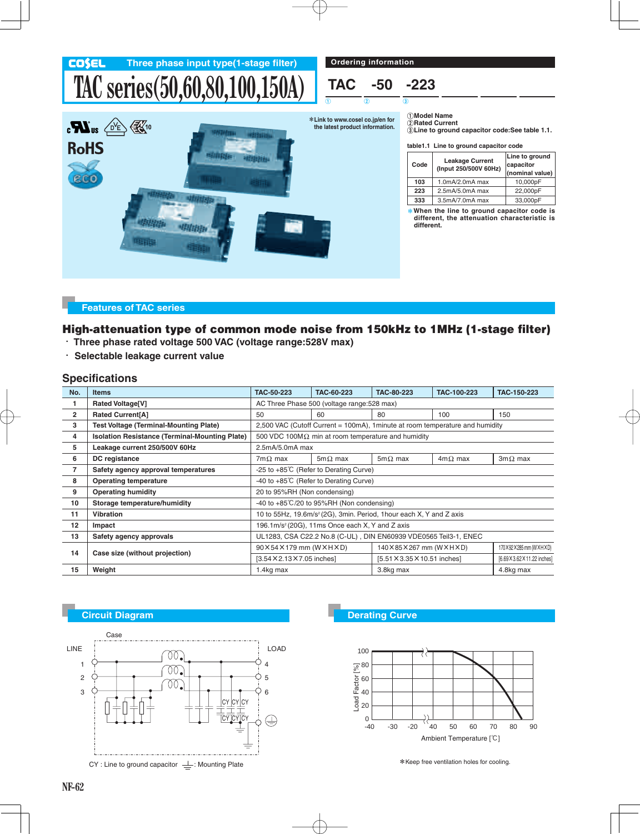

#### **Features of TAC series**

### **High-attenuation type of common mode noise from 150kHz to 1MHz (1-stage filter)**

- - **Three phase rated voltage 500 VAC (voltage range:528V max)**
- - **Selectable leakage current value**

### **Specifications**

| No.            | <b>Items</b>                                          | TAC-50-223                                                                      | TAC-60-223     | <b>TAC-80-223</b>            | TAC-100-223    | TAC-150-223                  |
|----------------|-------------------------------------------------------|---------------------------------------------------------------------------------|----------------|------------------------------|----------------|------------------------------|
|                | <b>Rated Voltage[V]</b>                               | AC Three Phase 500 (voltage range: 528 max)                                     |                |                              |                |                              |
| $\overline{2}$ | Rated Current[A]                                      | 50                                                                              | 60             | 80                           | 100            | 150                          |
| 3              | <b>Test Voltage (Terminal-Mounting Plate)</b>         | 2,500 VAC (Cutoff Current = 100mA), 1minute at room temperature and humidity    |                |                              |                |                              |
| 4              | <b>Isolation Resistance (Terminal-Mounting Plate)</b> | 500 VDC 100M $\Omega$ min at room temperature and humidity                      |                |                              |                |                              |
| 5              | Leakage current 250/500V 60Hz                         | 2.5mA/5.0mA max                                                                 |                |                              |                |                              |
| 6              | DC registance                                         | $7m\Omega$ max                                                                  | $5m\Omega$ max | $5m\Omega$ max               | $4m\Omega$ max | $3m\Omega$ max               |
| $\overline{7}$ | Safety agency approval temperatures                   | -25 to +85°C (Refer to Derating Curve)                                          |                |                              |                |                              |
| 8              | <b>Operating temperature</b>                          | -40 to +85°C (Refer to Derating Curve)                                          |                |                              |                |                              |
| 9              | <b>Operating humidity</b>                             | 20 to 95%RH (Non condensing)                                                    |                |                              |                |                              |
| 10             | Storage temperature/humidity                          | -40 to $+85^{\circ}C/20$ to 95%RH (Non condensing)                              |                |                              |                |                              |
| 11             | <b>Vibration</b>                                      | 10 to 55Hz, 19.6m/s <sup>2</sup> (2G), 3min. Period, 1hour each X, Y and Z axis |                |                              |                |                              |
| 12             | Impact                                                | 196.1m/s <sup>2</sup> (20G), 11ms Once each X, Y and Z axis                     |                |                              |                |                              |
| 13             | Safety agency approvals                               | UL1283, CSA C22.2 No.8 (C-UL), DIN EN60939 VDE0565 Teil3-1, ENEC                |                |                              |                |                              |
| 14             | Case size (without projection)                        | 90×54×179 mm (W×H×D)                                                            |                | 140×85×267 mm (W×H×D)        |                | 170×92×285 mm (W×H×D)        |
|                |                                                       | [3.54 × 2.13 × 7.05 inches]                                                     |                | [5.51 × 3.35 × 10.51 inches] |                | [6.69 X 3.62 X 11.22 inches] |
| 15             | Weight                                                | 1.4kg max                                                                       |                | 3.8kg max                    |                | 4.8kg max                    |



 $CY$  : Line to ground capacitor  $\perp$  : Mounting Plate



\*Keep free ventilation holes for cooling.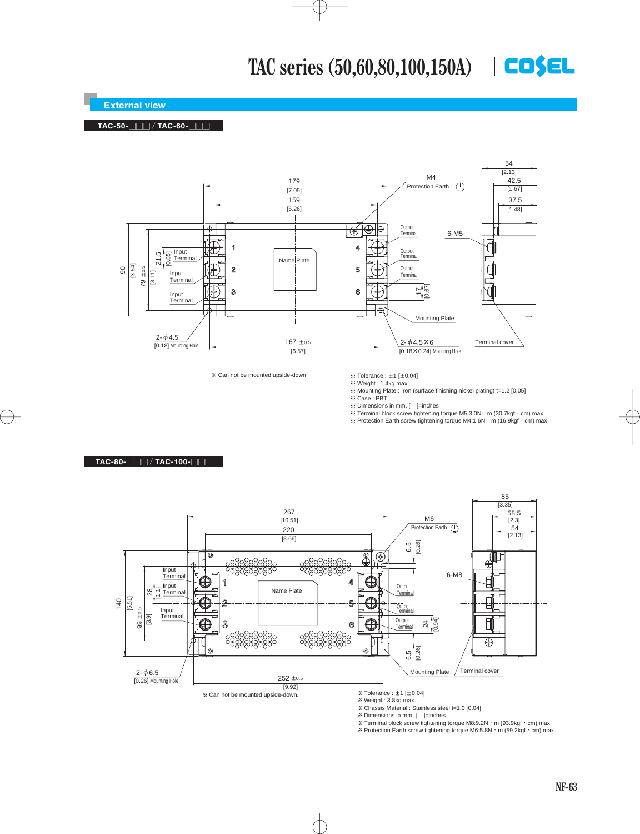## **TAC series (50,60,80,100,150A)**

#### **External view**

#### **TAC-50-**OOO / **TAC-60-**OOO

**TAC-80-**OOO / **TAC-100-**OOO



¶ Can not be mounted upside-down.

 $\%$  Tolerance :  $\pm$ 1 [ $\pm$ 0.04]

¶ Weight : 1.4kg max ¶ Mounting Plate : Iron (surface finishing:nickel plating) t=1.2 [0.05]

¶ Case : PBT

¶ Dimensions in mm, [ ]=inches

 $\%$  Terminal block screw tightening torque M5:3.0N  $\cdot$  m (30.7kgf $\cdot$  cm) max

¶ Protection Earth screw tightening torque M4:1.6N-m (16.9kgf-cm) max



¶ Weight : 3.8kg max

¶ Chassis Material : Stainless steel t=1.0 [0.04]

 $\%$  Dimensions in mm, [  $\quad$  ]=inches

¶ Terminal block screw tightening torque M8:9.2N-m (93.9kgf-cm) max

 $\%$  Protection Earth screw tightening torque M6:5.8N  $\cdot$  m (59.2kgf $\cdot$  cm) max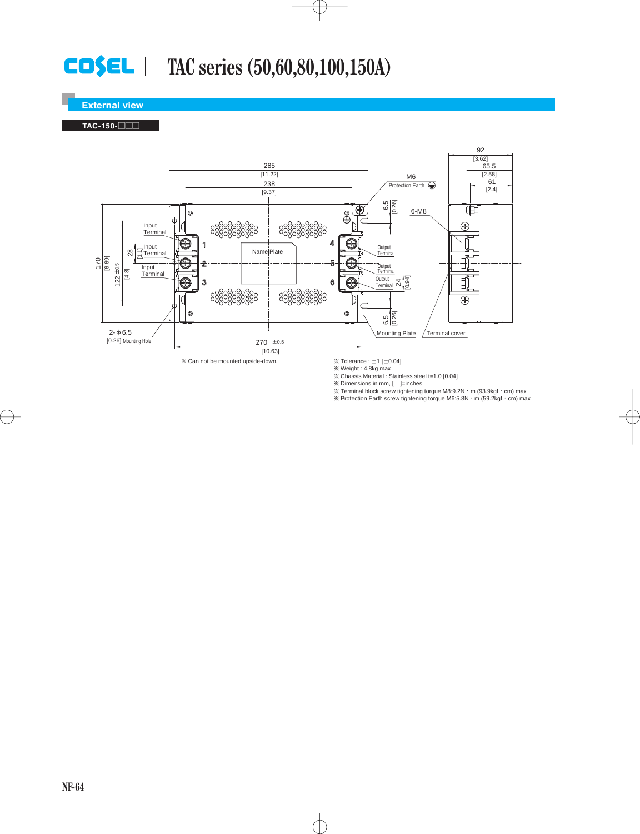# **TAC series (50,60,80,100,150A)**

#### **External view**

#### **TAC-150-**OOO



 $%$  Can not be mounted upside-down.

 $\%$  Tolerance :  $\pm$ 1 [ $\pm$ 0.04]<br> $\%$  Weight : 4.8kg max

¶ Chassis Material : Stainless steel t=1.0 [0.04]

 $\%$  Dimensions in mm,  $[$  ]=inches

¶ Terminal block screw tightening torque M8:9.2N-m (93.9kgf-cm) max

¶ Protection Earth screw tightening torque M6:5.8N-m (59.2kgf-cm) max